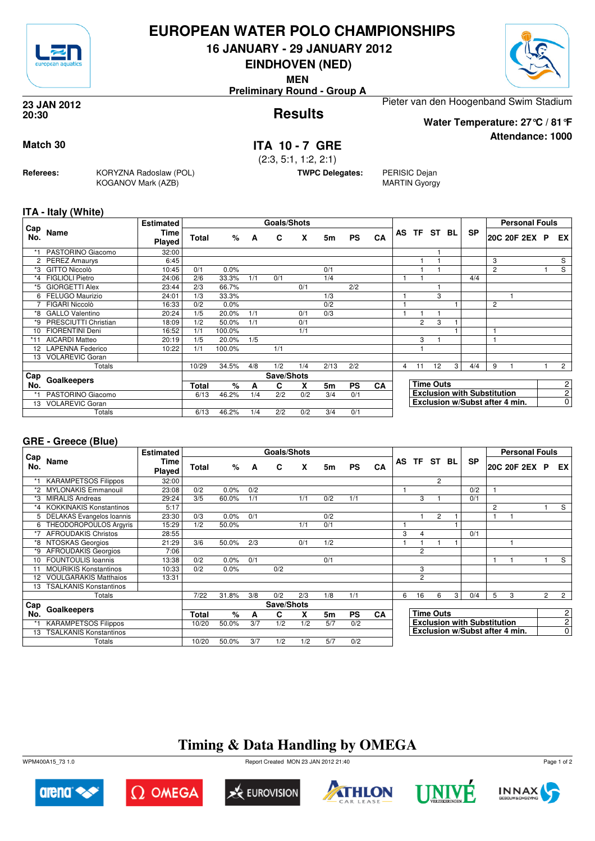

## **EUROPEAN WATER POLO CHAMPIONSHIPS**

**16 JANUARY - 29 JANUARY 2012**

**EINDHOVEN (NED)**

**MEN**

**Preliminary Round - Group A**

### **Results 23 JAN 2012 20:30**

Pieter van den Hoogenband Swim Stadium

**Water Temperature: 27°C / 81°F**

## **Match 30 ITA 10 - 7 GRE**

(2:3, 5:1, 1:2, 2:1)

**TWPC Delegates:** PERISIC Dejan

MARTIN Gyorgy

**ITA - Italy (White)**

**Referees:** KORYZNA Radoslaw (POL)

KOGANOV Mark (AZB)

|            |                        | <b>Estimated</b> |       |        |     | Goals/Shots |     |      |           |           |   |                |                  |   |                                    |                | <b>Personal Fouls</b>          |  |                |
|------------|------------------------|------------------|-------|--------|-----|-------------|-----|------|-----------|-----------|---|----------------|------------------|---|------------------------------------|----------------|--------------------------------|--|----------------|
| Cap<br>No. | Name                   | Time<br>Played   | Total | %      | A   | C           | X   | 5m   | <b>PS</b> | CA        |   |                | AS TF ST BL      |   | <b>SP</b>                          |                | 20C 20F 2EX P                  |  | EX             |
| $*1$       | PASTORINO Giacomo      | 32:00            |       |        |     |             |     |      |           |           |   |                |                  |   |                                    |                |                                |  |                |
|            | 2 PEREZ Amaurys        | 6:45             |       |        |     |             |     |      |           |           |   |                |                  |   |                                    | 3              |                                |  | S              |
| *3         | <b>GITTO Niccolò</b>   | 10:45            | 0/1   | 0.0%   |     |             |     | 0/1  |           |           |   |                |                  |   |                                    | $\overline{2}$ |                                |  | S              |
| $*_{4}$    | <b>FIGLIOLI Pietro</b> | 24:06            | 2/6   | 33.3%  | 1/1 | 0/1         |     | 1/4  |           |           |   |                |                  |   | 4/4                                |                |                                |  |                |
| *5         | <b>GIORGETTI Alex</b>  | 23:44            | 2/3   | 66.7%  |     |             | 0/1 |      | 2/2       |           |   |                |                  |   |                                    |                |                                |  |                |
| 6          | FELUGO Maurizio        | 24:01            | 1/3   | 33.3%  |     |             |     | 1/3  |           |           |   |                | 3                |   |                                    |                |                                |  |                |
|            | FIGARI Niccolò         | 16:33            | 0/2   | 0.0%   |     |             |     | 0/2  |           |           |   |                |                  |   |                                    | 2              |                                |  |                |
| *8         | <b>GALLO Valentino</b> | 20:24            | 1/5   | 20.0%  | 1/1 |             | 0/1 | 0/3  |           |           |   |                |                  |   |                                    |                |                                |  |                |
| *9         | PRESCIUTTI Christian   | 18:09            | 1/2   | 50.0%  | 1/1 |             | 0/1 |      |           |           |   | $\overline{2}$ | 3                |   |                                    |                |                                |  |                |
| 10         | <b>FIORENTINI Deni</b> | 16:52            | 1/1   | 100.0% |     |             | 1/1 |      |           |           |   |                |                  |   |                                    |                |                                |  |                |
| $*11$      | <b>AICARDI Matteo</b>  | 20:19            | 1/5   | 20.0%  | 1/5 |             |     |      |           |           |   | 3              |                  |   |                                    | 1              |                                |  |                |
|            | 12 LAPENNA Federico    | 10:22            | 1/1   | 100.0% |     | 1/1         |     |      |           |           |   |                |                  |   |                                    |                |                                |  |                |
| 13         | <b>VOLAREVIC Goran</b> |                  |       |        |     |             |     |      |           |           |   |                |                  |   |                                    |                |                                |  |                |
|            | Totals                 |                  | 10/29 | 34.5%  | 4/8 | 1/2         | 1/4 | 2/13 | 2/2       |           | 4 | 11             | 12               | 3 | 4/4                                | 9              |                                |  | $\overline{2}$ |
| Cap        |                        |                  |       |        |     | Save/Shots  |     |      |           |           |   |                |                  |   |                                    |                |                                |  |                |
| No.        | Goalkeepers            |                  | Total | %      | A   | C           | X   | 5m   | <b>PS</b> | <b>CA</b> |   |                | <b>Time Outs</b> |   |                                    |                |                                |  | $\mathbf{2}$   |
| *1         | PASTORINO Giacomo      |                  | 6/13  | 46.2%  | 1/4 | 2/2         | 0/2 | 3/4  | 0/1       |           |   |                |                  |   | <b>Exclusion with Substitution</b> |                |                                |  | $\mathbf{2}$   |
| 13         | <b>VOLAREVIC Goran</b> |                  |       |        |     |             |     |      |           |           |   |                |                  |   |                                    |                | Exclusion w/Subst after 4 min. |  | $\overline{0}$ |
|            | Totals                 |                  | 6/13  | 46.2%  | 1/4 | 2/2         | 0/2 | 3/4  | 0/1       |           |   |                |                  |   |                                    |                |                                |  |                |

### **GRE - Greece (Blue)**

|                 |                                | <b>Estimated</b>      |       |       |     | Goals/Shots |     |     |           |           |           |                        |                  |    |                                    |   | <b>Personal Fouls</b>          |                |                |
|-----------------|--------------------------------|-----------------------|-------|-------|-----|-------------|-----|-----|-----------|-----------|-----------|------------------------|------------------|----|------------------------------------|---|--------------------------------|----------------|----------------|
| Cap<br>No.      | Name                           | Time<br><b>Played</b> | Total | %     | A   | C           | x   | 5m  | <b>PS</b> | CA        | <b>AS</b> | TF ST                  |                  | BL | <b>SP</b>                          |   | 20C 20F 2EX P                  |                | EX I           |
|                 | <b>KARAMPETSOS Filippos</b>    | 32:00                 |       |       |     |             |     |     |           |           |           |                        | $\overline{2}$   |    |                                    |   |                                |                |                |
| $*2$            | <b>MYLONAKIS Emmanouil</b>     | 23:08                 | 0/2   | 0.0%  | 0/2 |             |     |     |           |           |           |                        |                  |    | 0/2                                |   |                                |                |                |
| *3              | <b>MIRALIS Andreas</b>         | 29:24                 | 3/5   | 60.0% | 1/1 |             | 1/1 | 0/2 | 1/1       |           |           | 3                      |                  |    | 0/1                                |   |                                |                |                |
|                 | <b>KOKKINAKIS Konstantinos</b> | 5:17                  |       |       |     |             |     |     |           |           |           |                        |                  |    |                                    | 2 |                                |                | S              |
|                 | DELAKAS Evangelos Ioannis      | 23:30                 | 0/3   | 0.0%  | 0/1 |             |     | 0/2 |           |           |           |                        | 2                |    |                                    |   |                                |                |                |
| 6               | THEODOROPOULOS Argyris         | 15:29                 | 1/2   | 50.0% |     |             | 1/1 | 0/1 |           |           |           |                        |                  |    |                                    |   |                                |                |                |
| *7              | <b>AFROUDAKIS Christos</b>     | 28:55                 |       |       |     |             |     |     |           |           | 3         | $\boldsymbol{\Lambda}$ |                  |    | 0/1                                |   |                                |                |                |
| *8              | NTOSKAS Georgios               | 21:29                 | 3/6   | 50.0% | 2/3 |             | 0/1 | 1/2 |           |           |           |                        |                  |    |                                    |   |                                |                |                |
| *9              | <b>AFROUDAKIS Georgios</b>     | 7:06                  |       |       |     |             |     |     |           |           |           | $\overline{2}$         |                  |    |                                    |   |                                |                |                |
| 10 <sup>1</sup> | <b>FOUNTOULIS Ioannis</b>      | 13:38                 | 0/2   | 0.0%  | 0/1 |             |     | 0/1 |           |           |           |                        |                  |    |                                    | 1 |                                |                | S              |
|                 | <b>MOURIKIS Konstantinos</b>   | 10:33                 | 0/2   | 0.0%  |     | 0/2         |     |     |           |           |           | 3                      |                  |    |                                    |   |                                |                |                |
| 12 <sup>2</sup> | <b>VOULGARAKIS Matthaios</b>   | 13:31                 |       |       |     |             |     |     |           |           |           | $\overline{c}$         |                  |    |                                    |   |                                |                |                |
| 13              | <b>TSALKANIS Konstantinos</b>  |                       |       |       |     |             |     |     |           |           |           |                        |                  |    |                                    |   |                                |                |                |
|                 | Totals                         |                       | 7/22  | 31.8% | 3/8 | 0/2         | 2/3 | 1/8 | 1/1       |           | 6         | 16                     | 6                | 3  | 0/4                                | 5 | 3                              | $\overline{2}$ | $\overline{2}$ |
| Cap             |                                |                       |       |       |     | Save/Shots  |     |     |           |           |           |                        |                  |    |                                    |   |                                |                |                |
| No.             | <b>Goalkeepers</b>             |                       | Total | $\%$  | A   | С           | x   | 5m  | <b>PS</b> | <b>CA</b> |           |                        | <b>Time Outs</b> |    |                                    |   |                                |                | $\mathbf{2}$   |
|                 | <b>KARAMPETSOS Filippos</b>    |                       | 10/20 | 50.0% | 3/7 | 1/2         | 1/2 | 5/7 | 0/2       |           |           |                        |                  |    | <b>Exclusion with Substitution</b> |   |                                |                | $\mathbf{2}$   |
| 13              | <b>TSALKANIS Konstantinos</b>  |                       |       |       |     |             |     |     |           |           |           |                        |                  |    |                                    |   | Exclusion w/Subst after 4 min. |                | $\overline{0}$ |
|                 | Totals                         |                       | 10/20 | 50.0% | 3/7 | 1/2         | 1/2 | 5/7 | 0/2       |           |           |                        |                  |    |                                    |   |                                |                |                |

## **Timing & Data Handling by OMEGA**

WPM400A15\_73 1.0 Report Created MON 23 JAN 2012 21:40











Page 1 of 2



**Attendance: 1000**